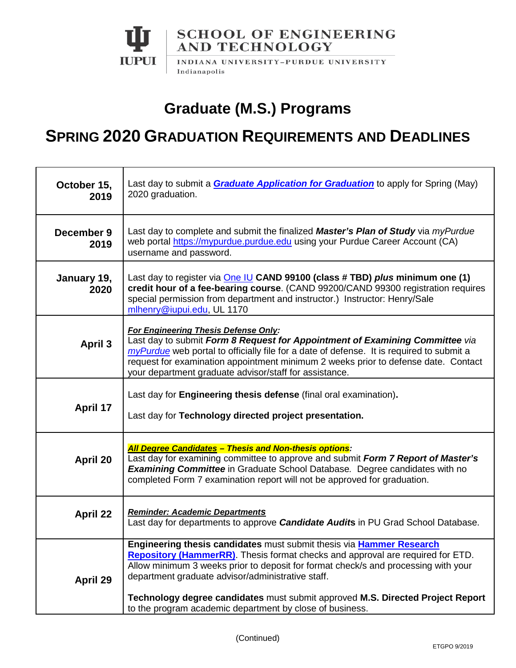

## **Graduate (M.S.) Programs**

## **SPRING 2020 GRADUATION REQUIREMENTS AND DEADLINES**

| October 15,<br>2019 | Last day to submit a <b>Graduate Application for Graduation</b> to apply for Spring (May)<br>2020 graduation.                                                                                                                                                                                                                                                                                                                                           |
|---------------------|---------------------------------------------------------------------------------------------------------------------------------------------------------------------------------------------------------------------------------------------------------------------------------------------------------------------------------------------------------------------------------------------------------------------------------------------------------|
| December 9<br>2019  | Last day to complete and submit the finalized Master's Plan of Study via myPurdue<br>web portal https://mypurdue.purdue.edu using your Purdue Career Account (CA)<br>username and password.                                                                                                                                                                                                                                                             |
| January 19,<br>2020 | Last day to register via One IU CAND 99100 (class # TBD) plus minimum one (1)<br>credit hour of a fee-bearing course. (CAND 99200/CAND 99300 registration requires<br>special permission from department and instructor.) Instructor: Henry/Sale<br>mlhenry@iupui.edu, UL 1170                                                                                                                                                                          |
| <b>April 3</b>      | <b>For Engineering Thesis Defense Only:</b><br>Last day to submit Form 8 Request for Appointment of Examining Committee via<br>my Purdue web portal to officially file for a date of defense. It is required to submit a<br>request for examination appointment minimum 2 weeks prior to defense date. Contact<br>your department graduate advisor/staff for assistance.                                                                                |
| April 17            | Last day for Engineering thesis defense (final oral examination).<br>Last day for Technology directed project presentation.                                                                                                                                                                                                                                                                                                                             |
| April 20            | <b>All Degree Candidates - Thesis and Non-thesis options:</b><br>Last day for examining committee to approve and submit Form 7 Report of Master's<br><b>Examining Committee</b> in Graduate School Database. Degree candidates with no<br>completed Form 7 examination report will not be approved for graduation.                                                                                                                                      |
| <b>April 22</b>     | Reminder: Academic Departments<br>Last day for departments to approve <b>Candidate Audits</b> in PU Grad School Database.                                                                                                                                                                                                                                                                                                                               |
| April 29            | Engineering thesis candidates must submit thesis via Hammer Research<br><b>Repository (HammerRR)</b> . Thesis format checks and approval are required for ETD.<br>Allow minimum 3 weeks prior to deposit for format check/s and processing with your<br>department graduate advisor/administrative staff.<br>Technology degree candidates must submit approved M.S. Directed Project Report<br>to the program academic department by close of business. |